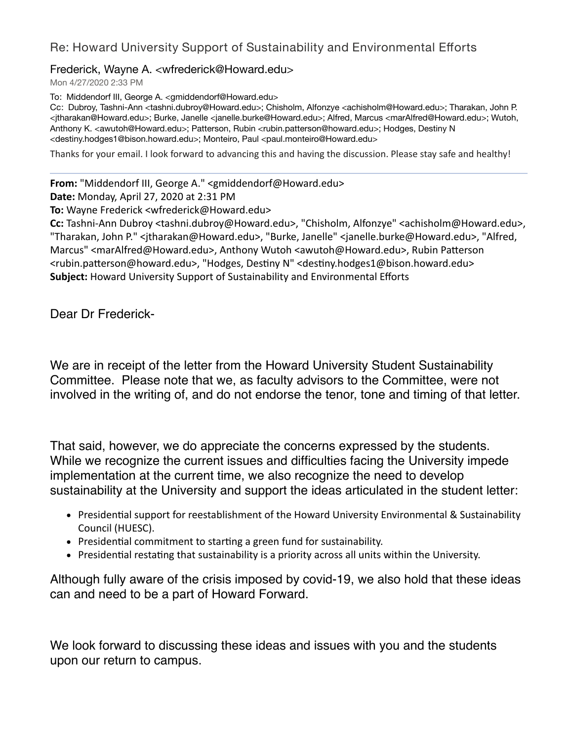## Re: Howard University Support of Sustainability and Environmental Efforts

## Frederick, Wayne A. <wfrederick@Howard.edu>

Mon 4/27/2020 2:33 PM

To: Middendorf III, George A. <gmiddendorf@Howard.edu>

Cc: Dubroy, Tashni-Ann <tashni.dubroy@Howard.edu>; Chisholm, Alfonzye <achisholm@Howard.edu>; Tharakan, John P. <jtharakan@Howard.edu>; Burke, Janelle <janelle.burke@Howard.edu>; Alfred, Marcus <marAlfred@Howard.edu>; Wutoh, Anthony K. <awutoh@Howard.edu>; Patterson, Rubin <rubin.patterson@howard.edu>; Hodges, Destiny N <destiny.hodges1@bison.howard.edu>; Monteiro, Paul <paul.monteiro@Howard.edu>

Thanks for your email. I look forward to advancing this and having the discussion. Please stay safe and healthy!

**From:** "Middendorf III, George A." <gmiddendorf@Howard.edu>

**Date:** Monday, April 27, 2020 at 2:31 PM

**To:** Wayne Frederick <wfrederick@Howard.edu>

**Cc:** Tashni-Ann Dubroy <tashni.dubroy@Howard.edu>, "Chisholm, Alfonzye" <achisholm@Howard.edu>, "Tharakan, John P." <jtharakan@Howard.edu>, "Burke, Janelle" <janelle.burke@Howard.edu>, "Alfred, Marcus" <marAlfred@Howard.edu>, Anthony Wutoh <awutoh@Howard.edu>, Rubin Patterson <rubin.patterson@howard.edu>, "Hodges, Destiny N" <destiny.hodges1@bison.howard.edu> **Subject:** Howard University Support of Sustainability and Environmental Efforts

Dear Dr Frederick-

We are in receipt of the letter from the Howard University Student Sustainability Committee. Please note that we, as faculty advisors to the Committee, were not involved in the writing of, and do not endorse the tenor, tone and timing of that letter.

That said, however, we do appreciate the concerns expressed by the students. While we recognize the current issues and difficulties facing the University impede implementation at the current time, we also recognize the need to develop sustainability at the University and support the ideas articulated in the student letter:

- Presidential support for reestablishment of the Howard University Environmental & Sustainability Council (HUESC).
- Presidential commitment to starting a green fund for sustainability.
- Presidential restating that sustainability is a priority across all units within the University.

Although fully aware of the crisis imposed by covid-19, we also hold that these ideas can and need to be a part of Howard Forward.

We look forward to discussing these ideas and issues with you and the students upon our return to campus.